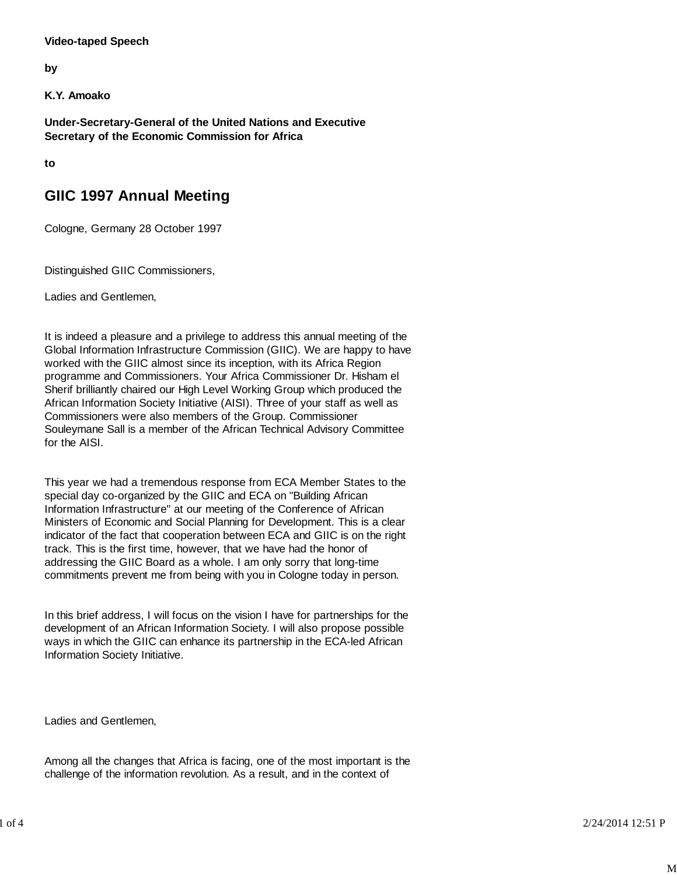## **Video-taped Speech**

**by**

**K.Y. Amoako**

**Under-Secretary-General of the United Nations and Executive Secretary of the Economic Commission for Africa**

**to**

## **GIIC 1997 Annual Meeting**

Cologne, Germany 28 October 1997

Distinguished GIIC Commissioners,

Ladies and Gentlemen,

It is indeed a pleasure and a privilege to address this annual meeting of the Global Information Infrastructure Commission (GIIC). We are happy to have worked with the GIIC almost since its inception, with its Africa Region programme and Commissioners. Your Africa Commissioner Dr. Hisham el Sherif brilliantly chaired our High Level Working Group which produced the African Information Society Initiative (AISI). Three of your staff as well as Commissioners were also members of the Group. Commissioner Souleymane Sall is a member of the African Technical Advisory Committee for the AISI.

This year we had a tremendous response from ECA Member States to the special day co-organized by the GIIC and ECA on "Building African Information Infrastructure" at our meeting of the Conference of African Ministers of Economic and Social Planning for Development. This is a clear indicator of the fact that cooperation between ECA and GIIC is on the right track. This is the first time, however, that we have had the honor of addressing the GIIC Board as a whole. I am only sorry that long-time commitments prevent me from being with you in Cologne today in person.

In this brief address, I will focus on the vision I have for partnerships for the development of an African Information Society. I will also propose possible ways in which the GIIC can enhance its partnership in the ECA-led African Information Society Initiative.

Ladies and Gentlemen,

Among all the changes that Africa is facing, one of the most important is the challenge of the information revolution. As a result, and in the context of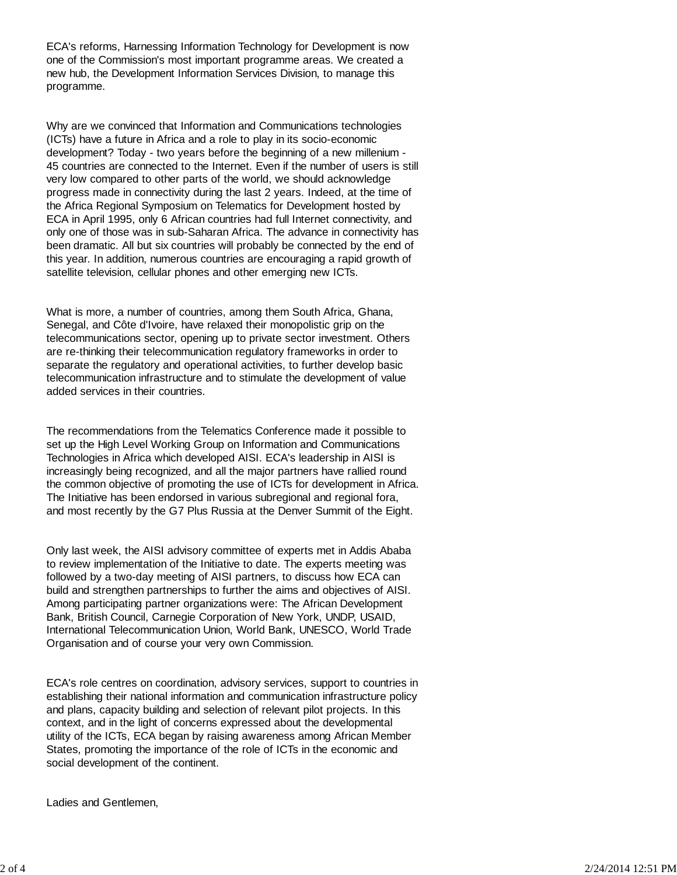ECA's reforms, Harnessing Information Technology for Development is now one of the Commission's most important programme areas. We created a new hub, the Development Information Services Division, to manage this programme.

Why are we convinced that Information and Communications technologies (ICTs) have a future in Africa and a role to play in its socio-economic development? Today - two years before the beginning of a new millenium - 45 countries are connected to the Internet. Even if the number of users is still very low compared to other parts of the world, we should acknowledge progress made in connectivity during the last 2 years. Indeed, at the time of the Africa Regional Symposium on Telematics for Development hosted by ECA in April 1995, only 6 African countries had full Internet connectivity, and only one of those was in sub-Saharan Africa. The advance in connectivity has been dramatic. All but six countries will probably be connected by the end of this year. In addition, numerous countries are encouraging a rapid growth of satellite television, cellular phones and other emerging new ICTs.

What is more, a number of countries, among them South Africa, Ghana, Senegal, and Côte d'Ivoire, have relaxed their monopolistic grip on the telecommunications sector, opening up to private sector investment. Others are re-thinking their telecommunication regulatory frameworks in order to separate the regulatory and operational activities, to further develop basic telecommunication infrastructure and to stimulate the development of value added services in their countries.

The recommendations from the Telematics Conference made it possible to set up the High Level Working Group on Information and Communications Technologies in Africa which developed AISI. ECA's leadership in AISI is increasingly being recognized, and all the major partners have rallied round the common objective of promoting the use of ICTs for development in Africa. The Initiative has been endorsed in various subregional and regional fora, and most recently by the G7 Plus Russia at the Denver Summit of the Eight.

Only last week, the AISI advisory committee of experts met in Addis Ababa to review implementation of the Initiative to date. The experts meeting was followed by a two-day meeting of AISI partners, to discuss how ECA can build and strengthen partnerships to further the aims and objectives of AISI. Among participating partner organizations were: The African Development Bank, British Council, Carnegie Corporation of New York, UNDP, USAID, International Telecommunication Union, World Bank, UNESCO, World Trade Organisation and of course your very own Commission.

ECA's role centres on coordination, advisory services, support to countries in establishing their national information and communication infrastructure policy and plans, capacity building and selection of relevant pilot projects. In this context, and in the light of concerns expressed about the developmental utility of the ICTs, ECA began by raising awareness among African Member States, promoting the importance of the role of ICTs in the economic and social development of the continent.

Ladies and Gentlemen,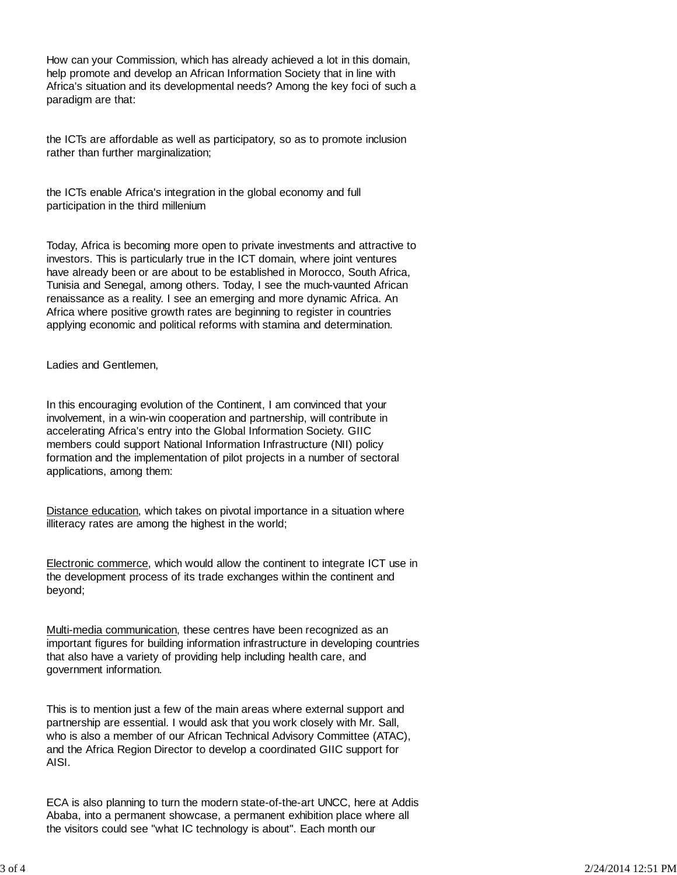How can your Commission, which has already achieved a lot in this domain, help promote and develop an African Information Society that in line with Africa's situation and its developmental needs? Among the key foci of such a paradigm are that:

the ICTs are affordable as well as participatory, so as to promote inclusion rather than further marginalization;

the ICTs enable Africa's integration in the global economy and full participation in the third millenium

Today, Africa is becoming more open to private investments and attractive to investors. This is particularly true in the ICT domain, where joint ventures have already been or are about to be established in Morocco, South Africa, Tunisia and Senegal, among others. Today, I see the much-vaunted African renaissance as a reality. I see an emerging and more dynamic Africa. An Africa where positive growth rates are beginning to register in countries applying economic and political reforms with stamina and determination.

Ladies and Gentlemen,

In this encouraging evolution of the Continent, I am convinced that your involvement, in a win-win cooperation and partnership, will contribute in accelerating Africa's entry into the Global Information Society. GIIC members could support National Information Infrastructure (NII) policy formation and the implementation of pilot projects in a number of sectoral applications, among them:

Distance education, which takes on pivotal importance in a situation where illiteracy rates are among the highest in the world;

Electronic commerce, which would allow the continent to integrate ICT use in the development process of its trade exchanges within the continent and beyond;

Multi-media communication, these centres have been recognized as an important figures for building information infrastructure in developing countries that also have a variety of providing help including health care, and government information.

This is to mention just a few of the main areas where external support and partnership are essential. I would ask that you work closely with Mr. Sall, who is also a member of our African Technical Advisory Committee (ATAC), and the Africa Region Director to develop a coordinated GIIC support for AISI.

ECA is also planning to turn the modern state-of-the-art UNCC, here at Addis Ababa, into a permanent showcase, a permanent exhibition place where all the visitors could see "what IC technology is about". Each month our